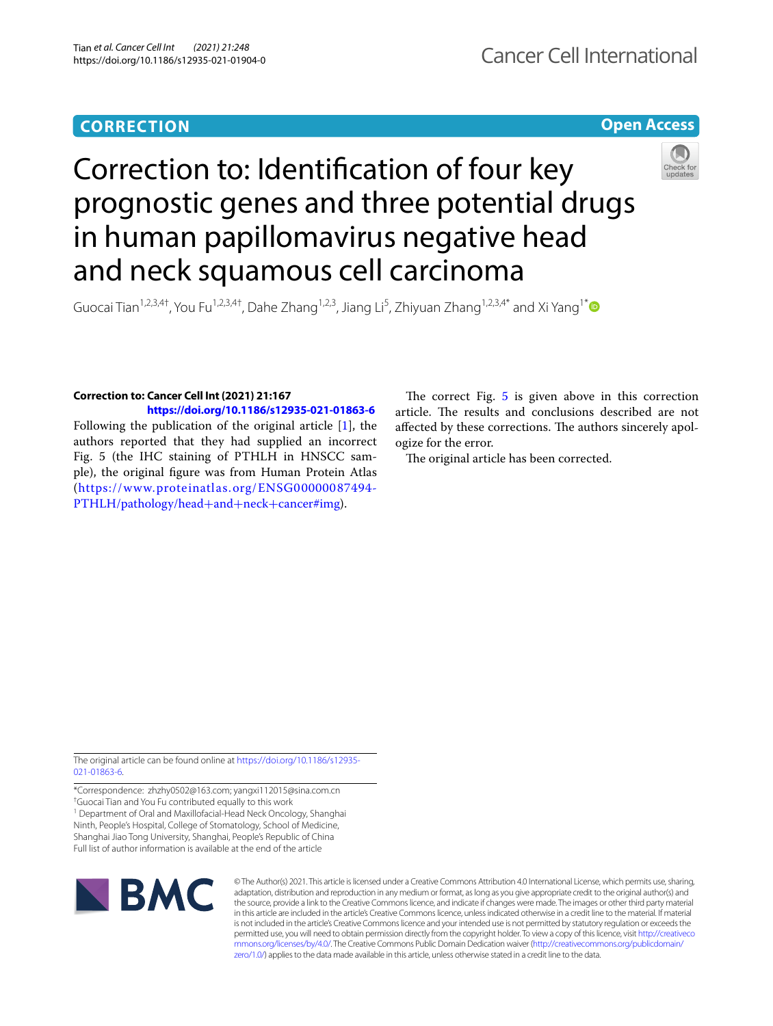# **CORRECTION**

**Open Access**

# Correction to: Identifcation of four key prognostic genes and three potential drugs in human papillomavirus negative head and neck squamous cell carcinoma



Guocai Tian<sup>1,2,3,4†</sup>, You Fu<sup>1,2,3,4†</sup>, Dahe Zhang<sup>1,2,3</sup>, Jiang Li<sup>5</sup>, Zhiyuan Zhang<sup>1,2,3,4[\\*](https://orcid.org/0000-0002-7219-4591)</sup> and Xi Yang<sup>1\*</sup>

## **Correction to: Cancer Cell Int (2021) 21:167**

**<https://doi.org/10.1186/s12935-021-01863-6>**

Following the publication of the original article [\[1](#page-1-0)], the authors reported that they had supplied an incorrect Fig. 5 (the IHC staining of PTHLH in HNSCC sample), the original fgure was from Human Protein Atlas ([https://www.proteinatlas.org/ENSG00000087494-](https://www.proteinatlas.org/ENSG00000087494-PTHLH/pathology/head+and+neck+cancer#img) [PTHLH/pathology/head](https://www.proteinatlas.org/ENSG00000087494-PTHLH/pathology/head+and+neck+cancer#img)+and+neck+cancer#img).

The correct Fig.  $5$  is given above in this correction article. The results and conclusions described are not affected by these corrections. The authors sincerely apologize for the error.

The original article has been corrected.

The original article can be found online at [https://doi.org/10.1186/s12935-](https://doi.org/10.1186/s12935-021-01863-6) [021-01863-6](https://doi.org/10.1186/s12935-021-01863-6).

\*Correspondence: zhzhy0502@163.com; yangxi112015@sina.com.cn † Guocai Tian and You Fu contributed equally to this work <sup>1</sup> Department of Oral and Maxillofacial-Head Neck Oncology, Shanghai Ninth, People's Hospital, College of Stomatology, School of Medicine, Shanghai Jiao Tong University, Shanghai, People's Republic of China Full list of author information is available at the end of the article



© The Author(s) 2021. This article is licensed under a Creative Commons Attribution 4.0 International License, which permits use, sharing, adaptation, distribution and reproduction in any medium or format, as long as you give appropriate credit to the original author(s) and the source, provide a link to the Creative Commons licence, and indicate if changes were made. The images or other third party material in this article are included in the article's Creative Commons licence, unless indicated otherwise in a credit line to the material. If material is not included in the article's Creative Commons licence and your intended use is not permitted by statutory regulation or exceeds the permitted use, you will need to obtain permission directly from the copyright holder. To view a copy of this licence, visit [http://creativeco](http://creativecommons.org/licenses/by/4.0/) [mmons.org/licenses/by/4.0/.](http://creativecommons.org/licenses/by/4.0/) The Creative Commons Public Domain Dedication waiver ([http://creativecommons.org/publicdomain/](http://creativecommons.org/publicdomain/zero/1.0/) [zero/1.0/\)](http://creativecommons.org/publicdomain/zero/1.0/) applies to the data made available in this article, unless otherwise stated in a credit line to the data.